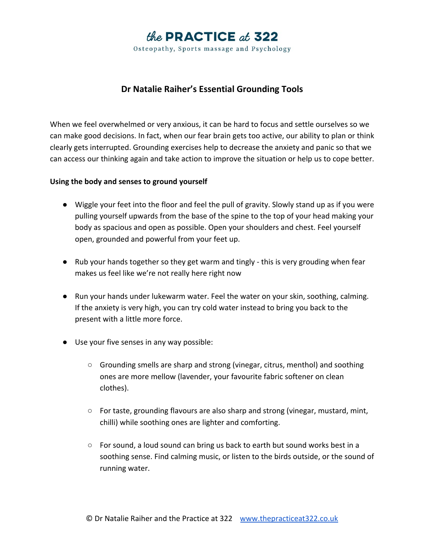

**Dr Natalie Raiher's Essential Grounding Tools**

When we feel overwhelmed or very anxious, it can be hard to focus and settle ourselves so we can make good decisions. In fact, when our fear brain gets too active, our ability to plan or think clearly gets interrupted. Grounding exercises help to decrease the anxiety and panic so that we can access our thinking again and take action to improve the situation or help us to cope better.

## **Using the body and senses to ground yourself**

- Wiggle your feet into the floor and feel the pull of gravity. Slowly stand up as if you were pulling yourself upwards from the base of the spine to the top of your head making your body as spacious and open as possible. Open your shoulders and chest. Feel yourself open, grounded and powerful from your feet up.
- Rub your hands together so they get warm and tingly this is very grouding when fear makes us feel like we're not really here right now
- Run your hands under lukewarm water. Feel the water on your skin, soothing, calming. If the anxiety is very high, you can try cold water instead to bring you back to the present with a little more force.
- Use your five senses in any way possible:
	- Grounding smells are sharp and strong (vinegar, citrus, menthol) and soothing ones are more mellow (lavender, your favourite fabric softener on clean clothes).
	- $\circ$  For taste, grounding flavours are also sharp and strong (vinegar, mustard, mint, chilli) while soothing ones are lighter and comforting.
	- $\circ$  For sound, a loud sound can bring us back to earth but sound works best in a soothing sense. Find calming music, or listen to the birds outside, or the sound of running water.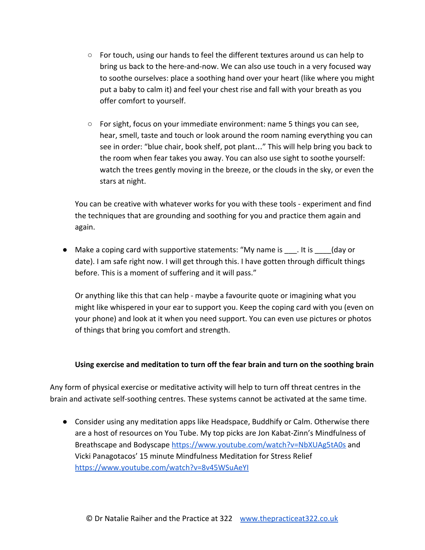- $\circ$  For touch, using our hands to feel the different textures around us can help to bring us back to the here-and-now. We can also use touch in a very focused way to soothe ourselves: place a soothing hand over your heart (like where you might put a baby to calm it) and feel your chest rise and fall with your breath as you offer comfort to yourself.
- $\circ$  For sight, focus on your immediate environment: name 5 things you can see, hear, smell, taste and touch or look around the room naming everything you can see in order: "blue chair, book shelf, pot plant…" This will help bring you back to the room when fear takes you away. You can also use sight to soothe yourself: watch the trees gently moving in the breeze, or the clouds in the sky, or even the stars at night.

You can be creative with whatever works for you with these tools - experiment and find the techniques that are grounding and soothing for you and practice them again and again.

● Make a coping card with supportive statements: "My name is  $_$ .utis  $_$  (day or date). I am safe right now. I will get through this. I have gotten through difficult things before. This is a moment of suffering and it will pass."

Or anything like this that can help - maybe a favourite quote or imagining what you might like whispered in your ear to support you. Keep the coping card with you (even on your phone) and look at it when you need support. You can even use pictures or photos of things that bring you comfort and strength.

## **Using exercise and meditation to turn off the fear brain and turn on the soothing brain**

Any form of physical exercise or meditative activity will help to turn off threat centres in the brain and activate self-soothing centres. These systems cannot be activated at the same time.

● Consider using any meditation apps like Headspace, Buddhify or Calm. Otherwise there are a host of resources on You Tube. My top picks are Jon Kabat-Zinn's Mindfulness of Breathscape and Bodyscape <https://www.youtube.com/watch?v=NbXUAg5tA0s>and Vicki Panagotacos' 15 minute Mindfulness Meditation for Stress Relief <https://www.youtube.com/watch?v=8v45WSuAeYI>